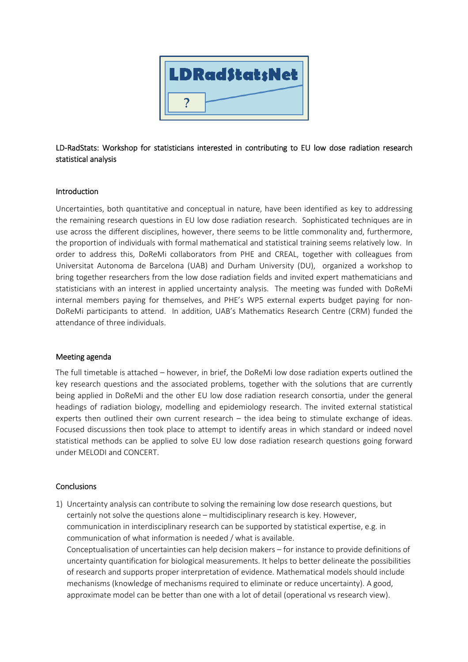

# LD-RadStats: Workshop for statisticians interested in contributing to EU low dose radiation research statistical analysis

## Introduction

Uncertainties, both quantitative and conceptual in nature, have been identified as key to addressing the remaining research questions in EU low dose radiation research. Sophisticated techniques are in use across the different disciplines, however, there seems to be little commonality and, furthermore, the proportion of individuals with formal mathematical and statistical training seems relatively low. In order to address this, DoReMi collaborators from PHE and CREAL, together with colleagues from Universitat Autonoma de Barcelona (UAB) and Durham University (DU), organized a workshop to bring together researchers from the low dose radiation fields and invited expert mathematicians and statisticians with an interest in applied uncertainty analysis. The meeting was funded with DoReMi internal members paying for themselves, and PHE's WP5 external experts budget paying for non-DoReMi participants to attend. In addition, UAB's Mathematics Research Centre (CRM) funded the attendance of three individuals.

#### Meeting agenda

The full timetable is attached – however, in brief, the DoReMi low dose radiation experts outlined the key research questions and the associated problems, together with the solutions that are currently being applied in DoReMi and the other EU low dose radiation research consortia, under the general headings of radiation biology, modelling and epidemiology research. The invited external statistical experts then outlined their own current research – the idea being to stimulate exchange of ideas. Focused discussions then took place to attempt to identify areas in which standard or indeed novel statistical methods can be applied to solve EU low dose radiation research questions going forward under MELODI and CONCERT.

#### **Conclusions**

1) Uncertainty analysis can contribute to solving the remaining low dose research questions, but certainly not solve the questions alone – multidisciplinary research is key. However, communication in interdisciplinary research can be supported by statistical expertise, e.g. in communication of what information is needed / what is available. Conceptualisation of uncertainties can help decision makers – for instance to provide definitions of uncertainty quantification for biological measurements. It helps to better delineate the possibilities of research and supports proper interpretation of evidence. Mathematical models should include mechanisms (knowledge of mechanisms required to eliminate or reduce uncertainty). A good, approximate model can be better than one with a lot of detail (operational vs research view).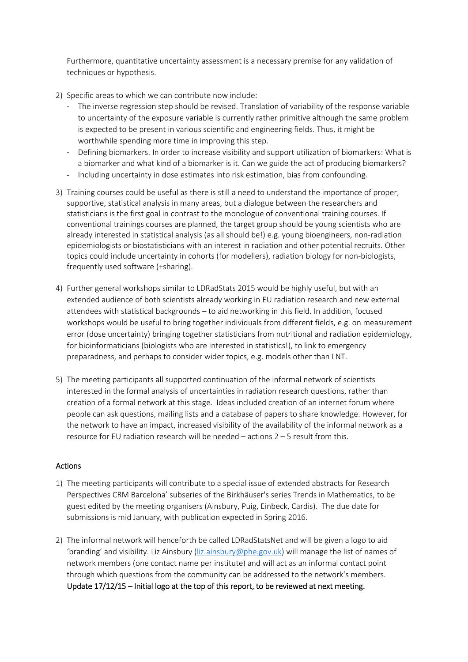Furthermore, quantitative uncertainty assessment is a necessary premise for any validation of techniques or hypothesis.

- 2) Specific areas to which we can contribute now include:
	- The inverse regression step should be revised. Translation of variability of the response variable to uncertainty of the exposure variable is currently rather primitive although the same problem is expected to be present in various scientific and engineering fields. Thus, it might be worthwhile spending more time in improving this step.
	- Defining biomarkers. In order to increase visibility and support utilization of biomarkers: What is a biomarker and what kind of a biomarker is it. Can we guide the act of producing biomarkers?
	- Including uncertainty in dose estimates into risk estimation, bias from confounding.
- 3) Training courses could be useful as there is still a need to understand the importance of proper, supportive, statistical analysis in many areas, but a dialogue between the researchers and statisticians is the first goal in contrast to the monologue of conventional training courses. If conventional trainings courses are planned, the target group should be young scientists who are already interested in statistical analysis (as all should be!) e.g. young bioengineers, non-radiation epidemiologists or biostatisticians with an interest in radiation and other potential recruits. Other topics could include uncertainty in cohorts (for modellers), radiation biology for non-biologists, frequently used software (+sharing).
- 4) Further general workshops similar to LDRadStats 2015 would be highly useful, but with an extended audience of both scientists already working in EU radiation research and new external attendees with statistical backgrounds – to aid networking in this field. In addition, focused workshops would be useful to bring together individuals from different fields, e.g. on measurement error (dose uncertainty) bringing together statisticians from nutritional and radiation epidemiology, for bioinformaticians (biologists who are interested in statistics!), to link to emergency preparadness, and perhaps to consider wider topics, e.g. models other than LNT.
- 5) The meeting participants all supported continuation of the informal network of scientists interested in the formal analysis of uncertainties in radiation research questions, rather than creation of a formal network at this stage. Ideas included creation of an internet forum where people can ask questions, mailing lists and a database of papers to share knowledge. However, for the network to have an impact, increased visibility of the availability of the informal network as a resource for EU radiation research will be needed – actions 2 – 5 result from this.

## Actions

- 1) The meeting participants will contribute to a special issue of extended abstracts for Research Perspectives CRM Barcelona' subseries of the Birkhäuser's series Trends in Mathematics, to be guest edited by the meeting organisers (Ainsbury, Puig, Einbeck, Cardis). The due date for submissions is mid January, with publication expected in Spring 2016.
- 2) The informal network will henceforth be called LDRadStatsNet and will be given a logo to aid 'branding' and visibility. Liz Ainsbury (liz.ainsbury@phe.gov.uk) will manage the list of names of network members (one contact name per institute) and will act as an informal contact point through which questions from the community can be addressed to the network's members. Update 17/12/15 – Initial logo at the top of this report, to be reviewed at next meeting.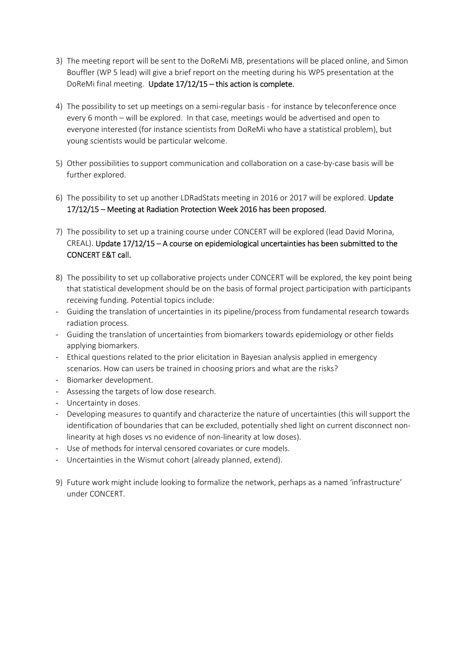- 3) The meeting report will be sent to the DoReMi MB, presentations will be placed online, and Simon Bouffler (WP 5 lead) will give a brief report on the meeting during his WP5 presentation at the DoReMi final meeting. Update 17/12/15 - this action is complete.
- 4) The possibility to set up meetings on a semi-regular basis for instance by teleconference once every 6 month – will be explored. In that case, meetings would be advertised and open to everyone interested (for instance scientists from DoReMi who have a statistical problem), but young scientists would be particular welcome.
- 5) Other possibilities to support communication and collaboration on a case-by-case basis will be further explored.
- 6) The possibility to set up another LDRadStats meeting in 2016 or 2017 will be explored. Update 17/12/15 – Meeting at Radiation Protection Week 2016 has been proposed.
- 7) The possibility to set up a training course under CONCERT will be explored (lead David Morina, CREAL). Update 17/12/15 – A course on epidemiological uncertainties has been submitted to the CONCERT E&T call.
- 8) The possibility to set up collaborative projects under CONCERT will be explored, the key point being that statistical development should be on the basis of formal project participation with participants receiving funding. Potential topics include:
- Guiding the translation of uncertainties in its pipeline/process from fundamental research towards radiation process.
- Guiding the translation of uncertainties from biomarkers towards epidemiology or other fields applying biomarkers.
- Ethical questions related to the prior elicitation in Bayesian analysis applied in emergency scenarios. How can users be trained in choosing priors and what are the risks?
- Biomarker development.
- Assessing the targets of low dose research.
- Uncertainty in doses.
- Developing measures to quantify and characterize the nature of uncertainties (this will support the identification of boundaries that can be excluded, potentially shed light on current disconnect nonlinearity at high doses vs no evidence of non-linearity at low doses).
- Use of methods for interval censored covariates or cure models.
- Uncertainties in the Wismut cohort (already planned, extend).
- 9) Future work might include looking to formalize the network, perhaps as a named 'infrastructure' under CONCERT.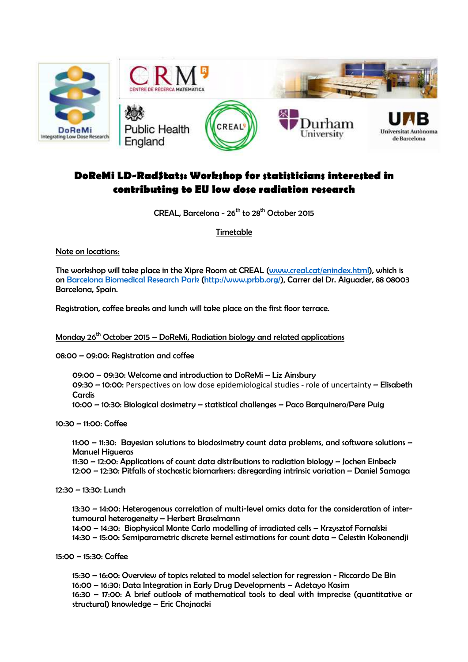

# **DoReMi LD-RadStats: Workshop for statisticians interested in contributing to EU low dose radiation research**

CREAL, Barcelona -  $26^{th}$  to  $28^{th}$  October 2015

Timetable

Note on locations:

The workshop will take place in the Xipre Room at CREAL (www.creal.cat/enindex.html), which is on Barcelona Biomedical Research Park (http://www.prbb.org/), Carrer del Dr. Aiguader, 88 08003 Barcelona, Spain.

Registration, coffee breaks and lunch will take place on the first floor terrace.

Monday  $26<sup>th</sup>$  October 2015 – DoReMi, Radiation biology and related applications

08:00 – 09:00: Registration and coffee

09:00 – 09:30: Welcome and introduction to DoReMi – Liz Ainsbury

09:30 – 10:00: Perspectives on low dose epidemiological studies - role of uncertainty – Elisabeth **Cardis** 

10:00 – 10:30: Biological dosimetry – statistical challenges – Paco Barquinero/Pere Puig

10:30 – 11:00: Coffee

11:00 – 11:30: Bayesian solutions to biodosimetry count data problems, and software solutions – Manuel Higueras

 11:30 – 12:00: Applications of count data distributions to radiation biology – Jochen Einbeck 12:00 – 12:30: Pitfalls of stochastic biomarkers: disregarding intrinsic variation – Daniel Samaga

12:30 – 13:30: Lunch

13:30 – 14:00: Heterogenous correlation of multi-level omics data for the consideration of intertumoural heterogeneity – Herbert Braselmann 14:00 – 14:30: Biophysical Monte Carlo modelling of irradiated cells – Krzysztof Fornalski 14:30 – 15:00: Semiparametric discrete kernel estimations for count data – Celestin Kokonendji

15:00 – 15:30: Coffee

15:30 – 16:00: Overview of topics related to model selection for regression - Riccardo De Bin 16:00 – 16:30: Data Integration in Early Drug Developments – Adetayo Kasim 16:30 – 17:00: A brief outlook of mathematical tools to deal with imprecise (quantitative or structural) knowledge – Eric Chojnacki